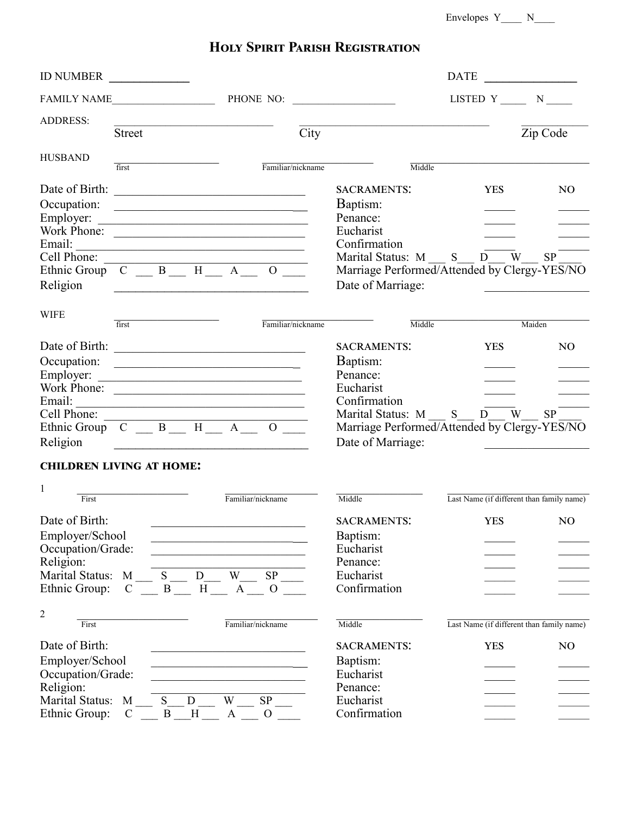Envelopes  $Y_$  N\_\_\_\_\_

| <b>ID NUMBER</b>                                                                                                      | <u> 1986 - Andrea State</u>                                                                                                                         |                                                    |                                                                                                                                                                     | <b>DATE</b>       | <u> 1980 - Jan Stein Stein Stein Stein Stein Stein Stein Stein Stein Stein Stein Stein Stein Stein Stein Stein S</u> |
|-----------------------------------------------------------------------------------------------------------------------|-----------------------------------------------------------------------------------------------------------------------------------------------------|----------------------------------------------------|---------------------------------------------------------------------------------------------------------------------------------------------------------------------|-------------------|----------------------------------------------------------------------------------------------------------------------|
|                                                                                                                       |                                                                                                                                                     |                                                    |                                                                                                                                                                     | LISTED Y $\_\_ N$ |                                                                                                                      |
| <b>ADDRESS:</b>                                                                                                       | Street                                                                                                                                              | City                                               |                                                                                                                                                                     |                   | Zip Code                                                                                                             |
| <b>HUSBAND</b>                                                                                                        | first                                                                                                                                               | Familiar/nickname                                  | Middle                                                                                                                                                              |                   |                                                                                                                      |
| Occupation:<br>Email:<br>Cell Phone:<br>Religion                                                                      | Employer:<br>Work Phone:<br><u> 1989 - Johann Barn, fransk politik amerikansk politik (</u><br>Ethnic Group $C = B = H_A A$                         |                                                    | <b>SACRAMENTS:</b><br>Baptism:<br>Penance:<br>Eucharist<br>Confirmation<br>Marital Status: M S<br>Marriage Performed/Attended by Clergy-YES/NO<br>Date of Marriage: | <b>YES</b><br>D W | N <sub>O</sub><br>SP                                                                                                 |
| <b>WIFE</b>                                                                                                           | first                                                                                                                                               | Familiar/nickname                                  | Middle                                                                                                                                                              |                   | Maiden                                                                                                               |
| Religion                                                                                                              | Occupation:<br>Work Phone:<br>Cell Phone:<br>Ethnic Group $\overline{C}$ $\overline{B}$ $\overline{H}$ $\overline{A}$ $\overline{O}$ $\overline{O}$ |                                                    | <b>SACRAMENTS:</b><br>Baptism:<br>Penance:<br>Eucharist<br>Confirmation<br>Marital Status: M S<br>Marriage Performed/Attended by Clergy-YES/NO<br>Date of Marriage: | <b>YES</b><br>D W | N <sub>O</sub><br>SP                                                                                                 |
|                                                                                                                       | <b>CHILDREN LIVING AT HOME:</b>                                                                                                                     |                                                    |                                                                                                                                                                     |                   |                                                                                                                      |
| 1<br>First<br>Date of Birth:<br>Employer/School<br>Occupation/Grade:<br>Religion:<br>Marital Status:<br>Ethnic Group: | S.<br>M<br>D<br>H<br>$\mathbf{B}$<br>$\mathcal{C}$                                                                                                  | Familiar/nickname<br>W<br>SP<br>$\mathcal{O}$<br>A | Middle<br><b>SACRAMENTS:</b><br>Baptism:<br>Eucharist<br>Penance:<br>Eucharist<br>Confirmation                                                                      | <b>YES</b>        | Last Name (if different than family name)<br>N <sub>O</sub>                                                          |
| $\overline{c}$<br>First                                                                                               |                                                                                                                                                     | Familiar/nickname                                  | Middle                                                                                                                                                              |                   | Last Name (if different than family name)                                                                            |
| Date of Birth:<br>Employer/School<br>Occupation/Grade:<br>Religion:<br>Marital Status:<br>Ethnic Group:               | M<br>$\mathbf D$<br>S<br>$\mathbf C$<br>$\bf{B}$<br>H                                                                                               | W<br>${\rm SP}$<br>$\mathbf{A}$<br>$\mathcal{O}$   | <b>SACRAMENTS:</b><br>Baptism:<br>Eucharist<br>Penance:<br>Eucharist<br>Confirmation                                                                                | <b>YES</b>        | NO                                                                                                                   |